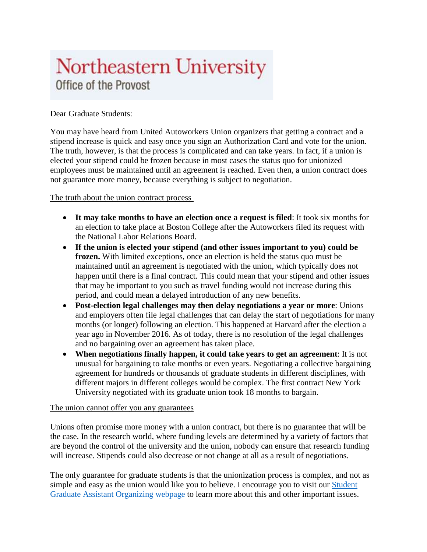## Northeastern University Office of the Provost

## Dear Graduate Students:

You may have heard from United Autoworkers Union organizers that getting a contract and a stipend increase is quick and easy once you sign an Authorization Card and vote for the union. The truth, however, is that the process is complicated and can take years. In fact, if a union is elected your stipend could be frozen because in most cases the status quo for unionized employees must be maintained until an agreement is reached. Even then, a union contract does not guarantee more money, because everything is subject to negotiation.

## The truth about the union contract process

- **It may take months to have an election once a request is filed**: It took six months for an election to take place at Boston College after the Autoworkers filed its request with the National Labor Relations Board.
- **If the union is elected your stipend (and other issues important to you) could be frozen.** With limited exceptions, once an election is held the status quo must be maintained until an agreement is negotiated with the union, which typically does not happen until there is a final contract. This could mean that your stipend and other issues that may be important to you such as travel funding would not increase during this period, and could mean a delayed introduction of any new benefits.
- **Post-election legal challenges may then delay negotiations a year or more**: Unions and employers often file legal challenges that can delay the start of negotiations for many months (or longer) following an election. This happened at Harvard after the election a year ago in November 2016. As of today, there is no resolution of the legal challenges and no bargaining over an agreement has taken place.
- **When negotiations finally happen, it could take years to get an agreement**: It is not unusual for bargaining to take months or even years. Negotiating a collective bargaining agreement for hundreds or thousands of graduate students in different disciplines, with different majors in different colleges would be complex. The first contract New York University negotiated with its graduate union took 18 months to bargain.

## The union cannot offer you any guarantees

Unions often promise more money with a union contract, but there is no guarantee that will be the case. In the research world, where funding levels are determined by a variety of factors that are beyond the control of the university and the union, nobody can ensure that research funding will increase. Stipends could also decrease or not change at all as a result of negotiations.

The only guarantee for graduate students is that the unionization process is complex, and not as simple and easy as the union would like you to believe. I encourage you to visit our [Student](https://provost.northeastern.edu/resources/graduate-students/union/)  [Graduate Assistant Organizing webpage](https://provost.northeastern.edu/resources/graduate-students/union/) to learn more about this and other important issues.